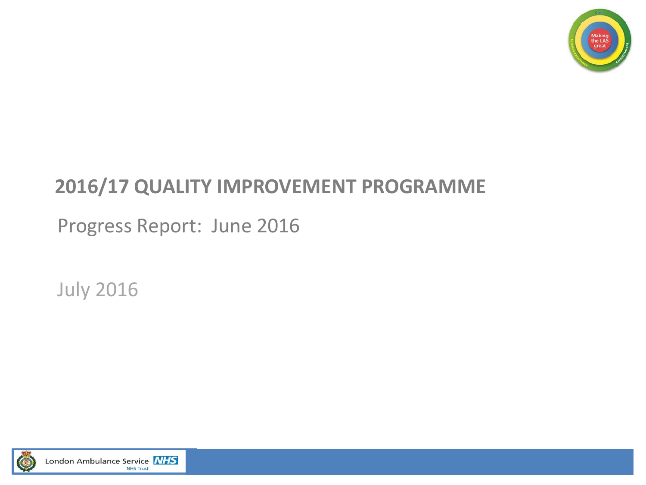

# **2016/17 QUALITY IMPROVEMENT PROGRAMME**

Progress Report: June 2016

July 2016

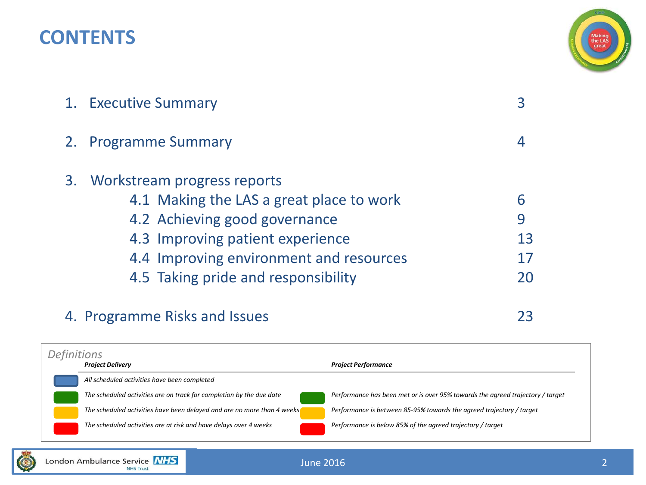# **CONTENTS**



|    | 1. Executive Summary                                                                                                                                                                                                              |              |
|----|-----------------------------------------------------------------------------------------------------------------------------------------------------------------------------------------------------------------------------------|--------------|
| 2. | <b>Programme Summary</b>                                                                                                                                                                                                          |              |
|    | 3. Workstream progress reports<br>4.1 Making the LAS a great place to work<br>4.2 Achieving good governance<br>4.3 Improving patient experience<br>4.4 Improving environment and resources<br>4.5 Taking pride and responsibility | 6<br>9<br>13 |
|    |                                                                                                                                                                                                                                   |              |

# 4. Programme Risks and Issues 23

*Project Delivery Project Performance All scheduled activities have been completed The scheduled activities are on track for completion by the due date Performance has been met or is over 95% towards the agreed trajectory / target The scheduled activities have been delayed and are no more than 4 weeks Performance is between 85-95% towards the agreed trajectory / target The scheduled activities are at risk and have delays over 4 weeks Performance is below 85% of the agreed trajectory / target Definitions*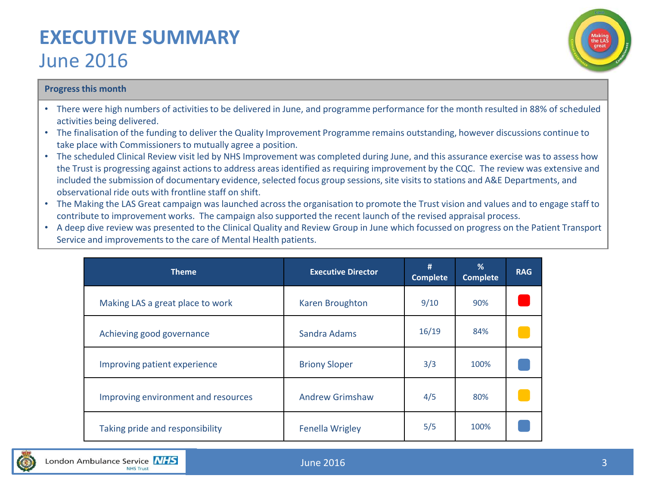# **EXECUTIVE SUMMARY**  June 2016



### **Progress this month**

- There were high numbers of activities to be delivered in June, and programme performance for the month resulted in 88% of scheduled activities being delivered.
- The finalisation of the funding to deliver the Quality Improvement Programme remains outstanding, however discussions continue to take place with Commissioners to mutually agree a position.
- The scheduled Clinical Review visit led by NHS Improvement was completed during June, and this assurance exercise was to assess how the Trust is progressing against actions to address areas identified as requiring improvement by the CQC. The review was extensive and included the submission of documentary evidence, selected focus group sessions, site visits to stations and A&E Departments, and observational ride outs with frontline staff on shift.
- The Making the LAS Great campaign was launched across the organisation to promote the Trust vision and values and to engage staff to contribute to improvement works. The campaign also supported the recent launch of the revised appraisal process.
- A deep dive review was presented to the Clinical Quality and Review Group in June which focussed on progress on the Patient Transport Service and improvements to the care of Mental Health patients.

| <b>Theme</b>                        | <b>Executive Director</b> | #<br><b>Complete</b> | %<br><b>Complete</b> | <b>RAG</b> |
|-------------------------------------|---------------------------|----------------------|----------------------|------------|
| Making LAS a great place to work    | Karen Broughton           | 9/10                 | 90%                  |            |
| Achieving good governance           | Sandra Adams              | 16/19                | 84%                  |            |
| Improving patient experience        | <b>Briony Sloper</b>      | 3/3                  | 100%                 |            |
| Improving environment and resources | <b>Andrew Grimshaw</b>    | 4/5                  | 80%                  |            |
| Taking pride and responsibility     | <b>Fenella Wrigley</b>    | 5/5                  | 100%                 |            |

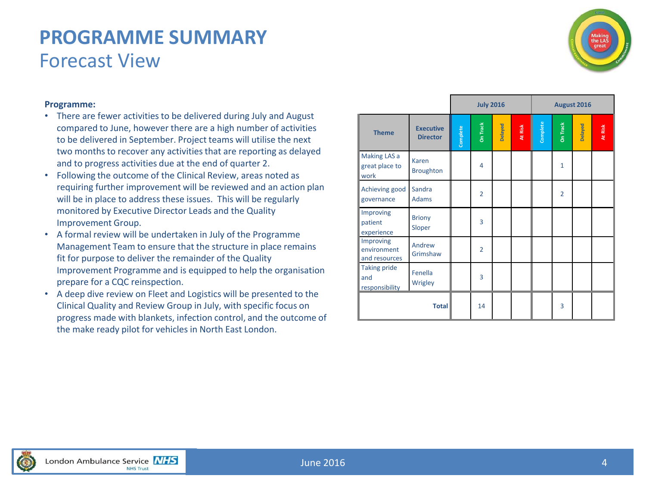# **PROGRAMME SUMMARY** Forecast View



# **Programme:**

- There are fewer activities to be delivered during July and August compared to June, however there are a high number of activities to be delivered in September. Project teams will utilise the next two months to recover any activities that are reporting as delayed and to progress activities due at the end of quarter 2.
- Following the outcome of the Clinical Review, areas noted as requiring further improvement will be reviewed and an action plan will be in place to address these issues. This will be regularly monitored by Executive Director Leads and the Quality Improvement Group.
- A formal review will be undertaken in July of the Programme Management Team to ensure that the structure in place remains fit for purpose to deliver the remainder of the Quality Improvement Programme and is equipped to help the organisation prepare for a CQC reinspection.
- A deep dive review on Fleet and Logistics will be presented to the Clinical Quality and Review Group in July, with specific focus on progress made with blankets, infection control, and the outcome of the make ready pilot for vehicles in North East London.

|                                              |                                     |          | <b>July 2016</b> |         |         |               |                | August 2016 |         |
|----------------------------------------------|-------------------------------------|----------|------------------|---------|---------|---------------|----------------|-------------|---------|
| <b>Theme</b>                                 | <b>Executive</b><br><b>Director</b> | Complete | On Track         | Delayed | At Risk | Complete<br>I | On Track       | Delayed     | At Risk |
| Making LAS a<br>great place to<br>work       | Karen<br><b>Broughton</b>           |          | $\overline{4}$   |         |         |               | $\mathbf{1}$   |             |         |
| Achieving good<br>governance                 | Sandra<br><b>Adams</b>              |          | $\overline{2}$   |         |         |               | $\overline{2}$ |             |         |
| Improving<br>patient<br>experience           | <b>Briony</b><br>Sloper             |          | 3                |         |         |               |                |             |         |
| Improving<br>environment<br>and resources    | Andrew<br>Grimshaw                  |          | $\overline{2}$   |         |         |               |                |             |         |
| <b>Taking pride</b><br>and<br>responsibility | Fenella<br>Wrigley                  |          | 3                |         |         |               |                |             |         |
|                                              | <b>Total</b>                        |          | 14               |         |         |               | 3              |             |         |

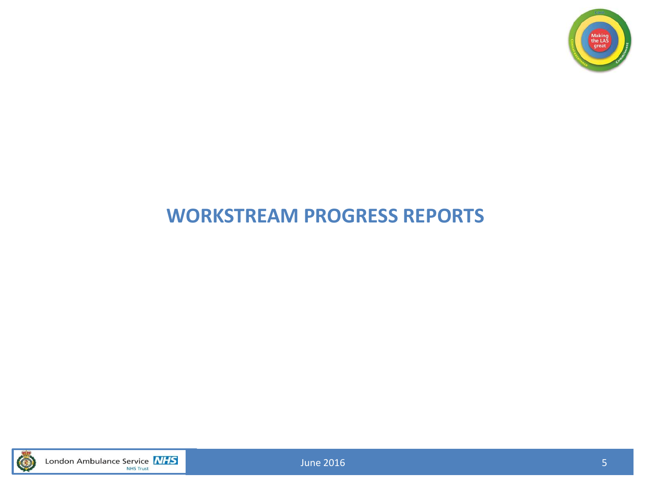

# **WORKSTREAM PROGRESS REPORTS**



London Ambulance Service **NHS** 

June 2016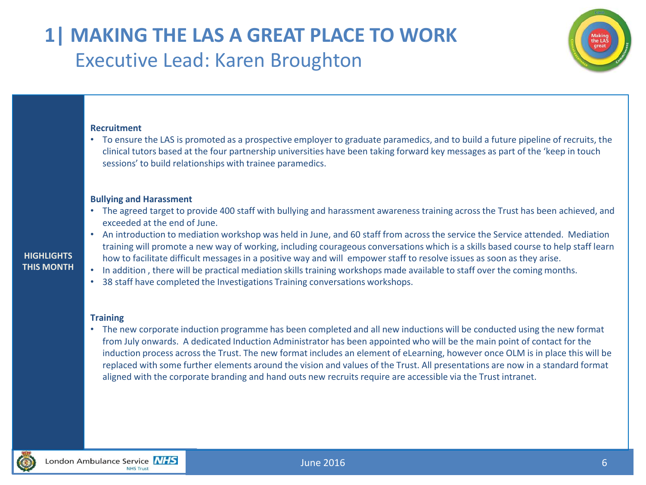# **1| MAKING THE LAS A GREAT PLACE TO WORK** Executive Lead: Karen Broughton

### **Recruitment**

• To ensure the LAS is promoted as a prospective employer to graduate paramedics, and to build a future pipeline of recruits, the clinical tutors based at the four partnership universities have been taking forward key messages as part of the 'keep in touch sessions' to build relationships with trainee paramedics.

### **Bullying and Harassment**

- The agreed target to provide 400 staff with bullying and harassment awareness training across the Trust has been achieved, and exceeded at the end of June.
- An introduction to mediation workshop was held in June, and 60 staff from across the service the Service attended. Mediation training will promote a new way of working, including courageous conversations which is a skills based course to help staff learn how to facilitate difficult messages in a positive way and will empower staff to resolve issues as soon as they arise.
- In addition , there will be practical mediation skills training workshops made available to staff over the coming months.
- 38 staff have completed the Investigations Training conversations workshops.

### **Training**

• The new corporate induction programme has been completed and all new inductions will be conducted using the new format from July onwards. A dedicated Induction Administrator has been appointed who will be the main point of contact for the induction process across the Trust. The new format includes an element of eLearning, however once OLM is in place this will be replaced with some further elements around the vision and values of the Trust. All presentations are now in a standard format aligned with the corporate branding and hand outs new recruits require are accessible via the Trust intranet.



**HIGHLIGHTS THIS MONTH**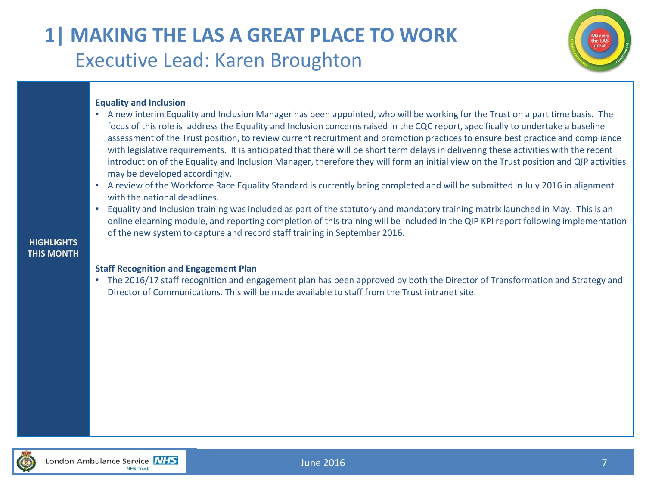# **1| MAKING THE LAS A GREAT PLACE TO WORK** Executive Lead: Karen Broughton



# **Equality and Inclusion**

- A new interim Equality and Inclusion Manager has been appointed, who will be working for the Trust on a part time basis. The focus of this role is address the Equality and Inclusion concerns raised in the CQC report, specifically to undertake a baseline assessment of the Trust position, to review current recruitment and promotion practices to ensure best practice and compliance with legislative requirements. It is anticipated that there will be short term delays in delivering these activities with the recent introduction of the Equality and Inclusion Manager, therefore they will form an initial view on the Trust position and QIP activities may be developed accordingly.
- A review of the Workforce Race Equality Standard is currently being completed and will be submitted in July 2016 in alignment with the national deadlines.
- Equality and Inclusion training was included as part of the statutory and mandatory training matrix launched in May. This is an online elearning module, and reporting completion of this training will be included in the QIP KPI report following implementation of the new system to capture and record staff training in September 2016.

# **HIGHLIGHTS THIS MONTH**

# **Staff Recognition and Engagement Plan**

• The 2016/17 staff recognition and engagement plan has been approved by both the Director of Transformation and Strategy and Director of Communications. This will be made available to staff from the Trust intranet site.



June 2016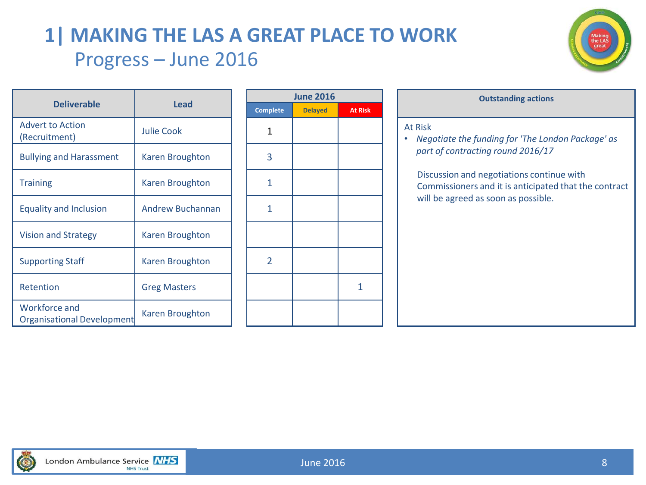# **1| MAKING THE LAS A GREAT PLACE TO WORK** Progress – June 2016



|                                             |                         |                 | <b>June 2016</b> |      |
|---------------------------------------------|-------------------------|-----------------|------------------|------|
| <b>Deliverable</b>                          | <b>Lead</b>             | <b>Complete</b> | <b>Delayed</b>   | At R |
| <b>Advert to Action</b><br>(Recruitment)    | <b>Julie Cook</b>       | 1               |                  |      |
| <b>Bullying and Harassment</b>              | <b>Karen Broughton</b>  | 3               |                  |      |
| <b>Training</b>                             | <b>Karen Broughton</b>  | 1               |                  |      |
| <b>Equality and Inclusion</b>               | <b>Andrew Buchannan</b> | 1               |                  |      |
| <b>Vision and Strategy</b>                  | <b>Karen Broughton</b>  |                 |                  |      |
| <b>Supporting Staff</b>                     | <b>Karen Broughton</b>  | 2               |                  |      |
| Retention                                   | <b>Greg Masters</b>     |                 |                  | 1    |
| Workforce and<br>Organisational Development | Karen Broughton         |                 |                  |      |
|                                             |                         |                 |                  |      |

|                 | <b>June 2016</b> |                |
|-----------------|------------------|----------------|
| <b>Complete</b> | <b>Delayed</b>   | <b>At Risk</b> |
| 1               |                  |                |
| 3               |                  |                |
| 1               |                  |                |
| $\mathbf{1}$    |                  |                |
|                 |                  |                |
| $\overline{2}$  |                  |                |
|                 |                  | 1              |
|                 |                  |                |

| <b>June 2016</b> |                | <b>Outstanding actions</b>                                                                                                                                                                                                                     |
|------------------|----------------|------------------------------------------------------------------------------------------------------------------------------------------------------------------------------------------------------------------------------------------------|
| <b>Delayed</b>   | <b>At Risk</b> |                                                                                                                                                                                                                                                |
|                  |                | At Risk<br>Negotiate the funding for 'The London Package' as<br>part of contracting round 2016/17<br>Discussion and negotiations continue with<br>Commissioners and it is anticipated that the contract<br>will be agreed as soon as possible. |
|                  |                |                                                                                                                                                                                                                                                |
|                  |                |                                                                                                                                                                                                                                                |
|                  |                |                                                                                                                                                                                                                                                |
|                  |                |                                                                                                                                                                                                                                                |

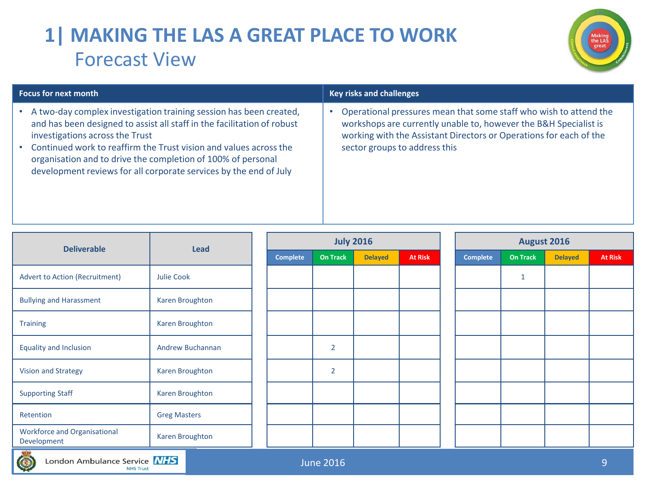# **1| MAKING THE LAS A GREAT PLACE TO WORK** Forecast View



| <b>Focus for next month</b>                                                                                                                                                                                                                                                                                                                                                                | <b>Key risks and challenges</b>                                                                                                                                                                                                              |
|--------------------------------------------------------------------------------------------------------------------------------------------------------------------------------------------------------------------------------------------------------------------------------------------------------------------------------------------------------------------------------------------|----------------------------------------------------------------------------------------------------------------------------------------------------------------------------------------------------------------------------------------------|
| A two-day complex investigation training session has been created,<br>and has been designed to assist all staff in the facilitation of robust<br>investigations across the Trust<br>Continued work to reaffirm the Trust vision and values across the<br>organisation and to drive the completion of 100% of personal<br>development reviews for all corporate services by the end of July | Operational pressures mean that some staff who wish to attend the<br>workshops are currently unable to, however the B&H Specialist is<br>working with the Assistant Directors or Operations for each of the<br>sector groups to address this |

| <b>Deliverable</b>                                                      | Lead                   |                 | <b>July 2016</b> |                |                |                 | <b>August 2016</b> |                |                |
|-------------------------------------------------------------------------|------------------------|-----------------|------------------|----------------|----------------|-----------------|--------------------|----------------|----------------|
|                                                                         |                        | <b>Complete</b> | <b>On Track</b>  | <b>Delayed</b> | <b>At Risk</b> | <b>Complete</b> | <b>On Track</b>    | <b>Delayed</b> | <b>At Risk</b> |
| <b>Advert to Action (Recruitment)</b>                                   | Julie Cook             |                 |                  |                |                |                 | $\mathbf{1}$       |                |                |
| <b>Bullying and Harassment</b>                                          | <b>Karen Broughton</b> |                 |                  |                |                |                 |                    |                |                |
| <b>Training</b>                                                         | <b>Karen Broughton</b> |                 |                  |                |                |                 |                    |                |                |
| <b>Equality and Inclusion</b>                                           | Andrew Buchannan       |                 | $\overline{2}$   |                |                |                 |                    |                |                |
| <b>Vision and Strategy</b>                                              | <b>Karen Broughton</b> |                 | $\overline{2}$   |                |                |                 |                    |                |                |
| <b>Supporting Staff</b>                                                 | <b>Karen Broughton</b> |                 |                  |                |                |                 |                    |                |                |
| Retention                                                               | <b>Greg Masters</b>    |                 |                  |                |                |                 |                    |                |                |
| <b>Workforce and Organisational</b><br>Development<br><b>STATISTICS</b> | Karen Broughton        |                 |                  |                |                |                 |                    |                |                |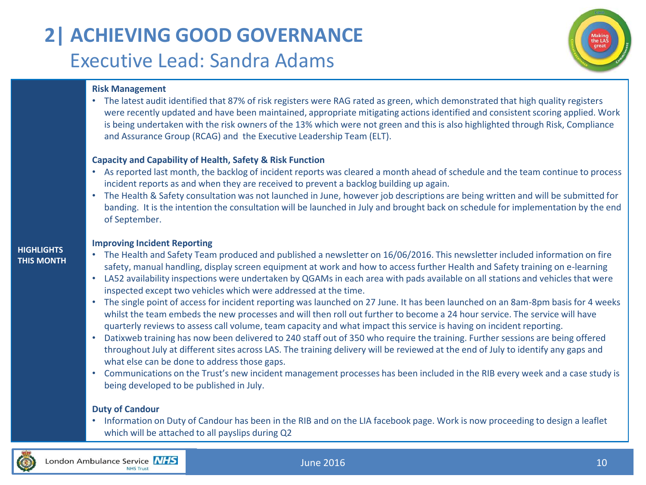# **2| ACHIEVING GOOD GOVERNANCE** Executive Lead: Sandra Adams



### **Risk Management**

• The latest audit identified that 87% of risk registers were RAG rated as green, which demonstrated that high quality registers were recently updated and have been maintained, appropriate mitigating actions identified and consistent scoring applied. Work is being undertaken with the risk owners of the 13% which were not green and this is also highlighted through Risk, Compliance and Assurance Group (RCAG) and the Executive Leadership Team (ELT).

### **Capacity and Capability of Health, Safety & Risk Function**

- As reported last month, the backlog of incident reports was cleared a month ahead of schedule and the team continue to process incident reports as and when they are received to prevent a backlog building up again.
- The Health & Safety consultation was not launched in June, however job descriptions are being written and will be submitted for banding. It is the intention the consultation will be launched in July and brought back on schedule for implementation by the end of September.

### **Improving Incident Reporting**

- The Health and Safety Team produced and published a newsletter on 16/06/2016. This newsletter included information on fire safety, manual handling, display screen equipment at work and how to access further Health and Safety training on e-learning
- LA52 availability inspections were undertaken by QGAMs in each area with pads available on all stations and vehicles that were inspected except two vehicles which were addressed at the time.
- The single point of access for incident reporting was launched on 27 June. It has been launched on an 8am-8pm basis for 4 weeks whilst the team embeds the new processes and will then roll out further to become a 24 hour service. The service will have quarterly reviews to assess call volume, team capacity and what impact this service is having on incident reporting.
- Datixweb training has now been delivered to 240 staff out of 350 who require the training. Further sessions are being offered throughout July at different sites across LAS. The training delivery will be reviewed at the end of July to identify any gaps and what else can be done to address those gaps.
- Communications on the Trust's new incident management processes has been included in the RIB every week and a case study is being developed to be published in July.

# **Duty of Candour**

• Information on Duty of Candour has been in the RIB and on the LIA facebook page. Work is now proceeding to design a leaflet which will be attached to all payslips during Q2



**HIGHLIGHTS THIS MONTH**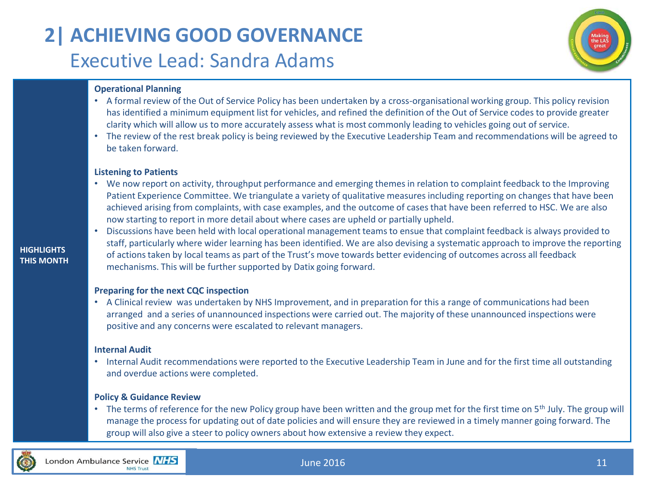# **2| ACHIEVING GOOD GOVERNANCE** Executive Lead: Sandra Adams



# **Operational Planning**

- A formal review of the Out of Service Policy has been undertaken by a cross-organisational working group. This policy revision has identified a minimum equipment list for vehicles, and refined the definition of the Out of Service codes to provide greater clarity which will allow us to more accurately assess what is most commonly leading to vehicles going out of service.
- The review of the rest break policy is being reviewed by the Executive Leadership Team and recommendations will be agreed to be taken forward.

### **Listening to Patients**

- We now report on activity, throughput performance and emerging themes in relation to complaint feedback to the Improving Patient Experience Committee. We triangulate a variety of qualitative measures including reporting on changes that have been achieved arising from complaints, with case examples, and the outcome of cases that have been referred to HSC. We are also now starting to report in more detail about where cases are upheld or partially upheld.
- Discussions have been held with local operational management teams to ensue that complaint feedback is always provided to staff, particularly where wider learning has been identified. We are also devising a systematic approach to improve the reporting of actions taken by local teams as part of the Trust's move towards better evidencing of outcomes across all feedback mechanisms. This will be further supported by Datix going forward.

# **Preparing for the next CQC inspection**

• A Clinical review was undertaken by NHS Improvement, and in preparation for this a range of communications had been arranged and a series of unannounced inspections were carried out. The majority of these unannounced inspections were positive and any concerns were escalated to relevant managers.

### **Internal Audit**

• Internal Audit recommendations were reported to the Executive Leadership Team in June and for the first time all outstanding and overdue actions were completed.

# **Policy & Guidance Review**

• The terms of reference for the new Policy group have been written and the group met for the first time on 5<sup>th</sup> July. The group will manage the process for updating out of date policies and will ensure they are reviewed in a timely manner going forward. The group will also give a steer to policy owners about how extensive a review they expect.



**HIGHLIGHTS THIS MONTH**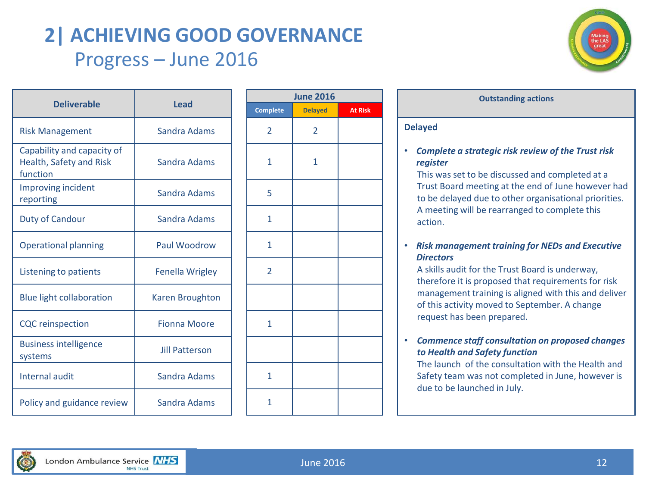# **2| ACHIEVING GOOD GOVERNANCE** Progress – June 2016



|                                                                   |                        |                 | June 2         |
|-------------------------------------------------------------------|------------------------|-----------------|----------------|
| <b>Deliverable</b>                                                | Lead                   | <b>Complete</b> | <b>Delay</b>   |
| <b>Risk Management</b>                                            | Sandra Adams           | $\overline{2}$  | $\overline{2}$ |
| Capability and capacity of<br>Health, Safety and Risk<br>function | Sandra Adams           | $\mathbf{1}$    | 1              |
| Improving incident<br>reporting                                   | Sandra Adams           | 5               |                |
| <b>Duty of Candour</b>                                            | Sandra Adams           | $\mathbf{1}$    |                |
| <b>Operational planning</b>                                       | Paul Woodrow           | 1               |                |
| Listening to patients                                             | <b>Fenella Wrigley</b> | $\overline{2}$  |                |
| <b>Blue light collaboration</b>                                   | <b>Karen Broughton</b> |                 |                |
| <b>CQC</b> reinspection                                           | <b>Fionna Moore</b>    | 1               |                |
| <b>Business intelligence</b><br>systems                           | <b>Jill Patterson</b>  |                 |                |
| <b>Internal audit</b>                                             | Sandra Adams           | $\mathbf{1}$    |                |
| Policy and guidance review                                        | Sandra Adams           | 1               |                |

|                | <b>June 2016</b> |                |
|----------------|------------------|----------------|
| Complete       | <b>Delayed</b>   | <b>At Risk</b> |
| $\overline{2}$ | $\overline{2}$   |                |
| $\mathbf{1}$   | $\mathbf{1}$     |                |
| 5              |                  |                |
| $\mathbf{1}$   |                  |                |
| $\mathbf{1}$   |                  |                |
| $\overline{2}$ |                  |                |
|                |                  |                |
| $\mathbf{1}$   |                  |                |
|                |                  |                |
| $\mathbf{1}$   |                  |                |
| 1              |                  |                |

# **Outstanding** actions **Delayed**  • *Complete a strategic risk review of the Trust risk register*  This was set to be discussed and completed at a Trust Board meeting at the end of June however had

to be delayed due to other organisational priorities. A meeting will be rearranged to complete this action.

# • *Risk management training for NEDs and Executive Directors*

A skills audit for the Trust Board is underway, therefore it is proposed that requirements for risk management training is aligned with this and deliver of this activity moved to September. A change request has been prepared.

# • *Commence staff consultation on proposed changes to Health and Safety function*

The launch of the consultation with the Health and Safety team was not completed in June, however is due to be launched in July.

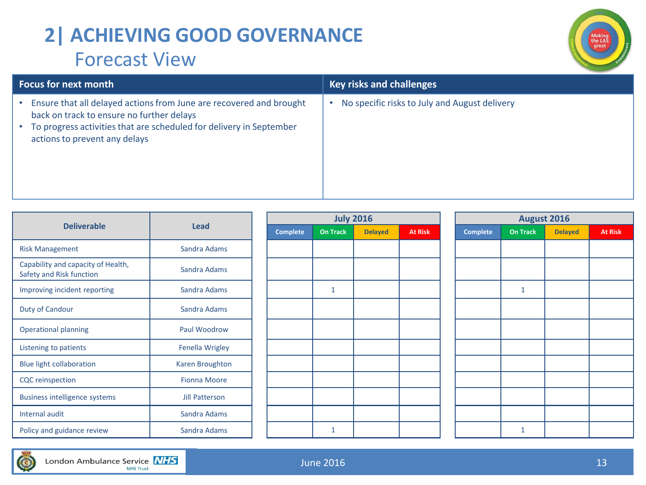# **2| ACHIEVING GOOD GOVERNANCE** Forecast View



| <b>Focus for next month</b>                                                                                                                                                                                                           | <b>Key risks and challenges</b>               |
|---------------------------------------------------------------------------------------------------------------------------------------------------------------------------------------------------------------------------------------|-----------------------------------------------|
| Ensure that all delayed actions from June are recovered and brought<br>back on track to ensure no further delays<br>To progress activities that are scheduled for delivery in September<br>$\bullet$<br>actions to prevent any delays | No specific risks to July and August delivery |

|                                                                |                        |                 |          | <b>July 2016</b> |                |
|----------------------------------------------------------------|------------------------|-----------------|----------|------------------|----------------|
| <b>Deliverable</b>                                             | Lead                   | <b>Complete</b> | On Track | <b>Delayed</b>   | <b>At Risk</b> |
| <b>Risk Management</b>                                         | Sandra Adams           |                 |          |                  |                |
| Capability and capacity of Health,<br>Safety and Risk function | Sandra Adams           |                 |          |                  |                |
| Improving incident reporting                                   | Sandra Adams           |                 | 1        |                  |                |
| Duty of Candour                                                | Sandra Adams           |                 |          |                  |                |
| <b>Operational planning</b>                                    | Paul Woodrow           |                 |          |                  |                |
| Listening to patients                                          | Fenella Wrigley        |                 |          |                  |                |
| <b>Blue light collaboration</b>                                | <b>Karen Broughton</b> |                 |          |                  |                |
| <b>CQC</b> reinspection                                        | <b>Fionna Moore</b>    |                 |          |                  |                |
| <b>Business intelligence systems</b>                           | <b>Jill Patterson</b>  |                 |          |                  |                |
| Internal audit                                                 | Sandra Adams           |                 |          |                  |                |
| Policy and guidance review                                     | Sandra Adams           |                 | 1        |                  |                |

|                 |                 | <b>July 2016</b> |                | <b>August 2016</b> |             |                |                |  |  |  |
|-----------------|-----------------|------------------|----------------|--------------------|-------------|----------------|----------------|--|--|--|
| <b>Complete</b> | <b>On Track</b> | <b>Delayed</b>   | <b>At Risk</b> | <b>Complete</b>    | On Track    | <b>Delayed</b> | <b>At Risk</b> |  |  |  |
|                 |                 |                  |                |                    |             |                |                |  |  |  |
|                 |                 |                  |                |                    |             |                |                |  |  |  |
|                 |                 |                  |                |                    |             |                |                |  |  |  |
|                 | $\mathbf 1$     |                  |                |                    | $\mathbf 1$ |                |                |  |  |  |
|                 |                 |                  |                |                    |             |                |                |  |  |  |
|                 |                 |                  |                |                    |             |                |                |  |  |  |
|                 |                 |                  |                |                    |             |                |                |  |  |  |
|                 |                 |                  |                |                    |             |                |                |  |  |  |
|                 |                 |                  |                |                    |             |                |                |  |  |  |
|                 |                 |                  |                |                    |             |                |                |  |  |  |
|                 |                 |                  |                |                    |             |                |                |  |  |  |
|                 |                 |                  |                |                    |             |                |                |  |  |  |
|                 |                 |                  |                |                    |             |                |                |  |  |  |
|                 | $\mathbf{1}$    |                  |                |                    | $\mathbf 1$ |                |                |  |  |  |

|      | <b>July 2016</b> |                | <b>August 2016</b> |              |                |                |  |  |  |  |  |  |
|------|------------------|----------------|--------------------|--------------|----------------|----------------|--|--|--|--|--|--|
| rack | <b>Delayed</b>   | <b>At Risk</b> | <b>Complete</b>    | On Track     | <b>Delayed</b> | <b>At Risk</b> |  |  |  |  |  |  |
|      |                  |                |                    |              |                |                |  |  |  |  |  |  |
|      |                  |                |                    |              |                |                |  |  |  |  |  |  |
|      |                  |                |                    |              |                |                |  |  |  |  |  |  |
|      |                  |                |                    | $\mathbf 1$  |                |                |  |  |  |  |  |  |
|      |                  |                |                    |              |                |                |  |  |  |  |  |  |
|      |                  |                |                    |              |                |                |  |  |  |  |  |  |
|      |                  |                |                    |              |                |                |  |  |  |  |  |  |
|      |                  |                |                    |              |                |                |  |  |  |  |  |  |
|      |                  |                |                    |              |                |                |  |  |  |  |  |  |
|      |                  |                |                    |              |                |                |  |  |  |  |  |  |
|      |                  |                |                    |              |                |                |  |  |  |  |  |  |
|      |                  |                |                    | $\mathbf{1}$ |                |                |  |  |  |  |  |  |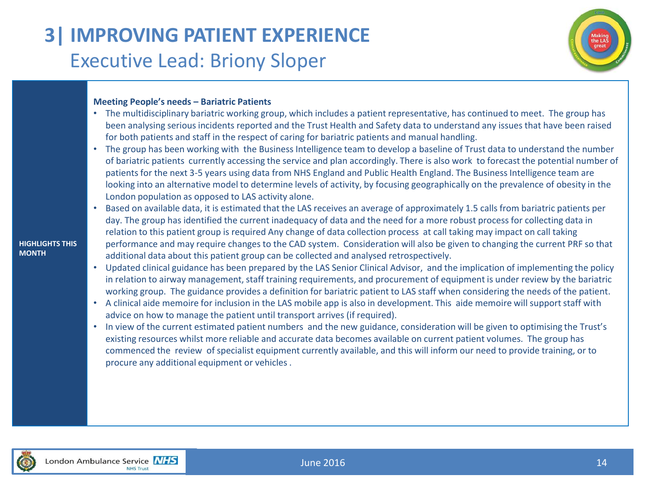# **3| IMPROVING PATIENT EXPERIENCE** Executive Lead: Briony Sloper



### **Meeting People's needs – Bariatric Patients**

- The multidisciplinary bariatric working group, which includes a patient representative, has continued to meet. The group has been analysing serious incidents reported and the Trust Health and Safety data to understand any issues that have been raised for both patients and staff in the respect of caring for bariatric patients and manual handling.
- The group has been working with the Business Intelligence team to develop a baseline of Trust data to understand the number of bariatric patients currently accessing the service and plan accordingly. There is also work to forecast the potential number of patients for the next 3-5 years using data from NHS England and Public Health England. The Business Intelligence team are looking into an alternative model to determine levels of activity, by focusing geographically on the prevalence of obesity in the London population as opposed to LAS activity alone.
- Based on available data, it is estimated that the LAS receives an average of approximately 1.5 calls from bariatric patients per day. The group has identified the current inadequacy of data and the need for a more robust process for collecting data in relation to this patient group is required Any change of data collection process at call taking may impact on call taking performance and may require changes to the CAD system. Consideration will also be given to changing the current PRF so that additional data about this patient group can be collected and analysed retrospectively.
- Updated clinical guidance has been prepared by the LAS Senior Clinical Advisor, and the implication of implementing the policy in relation to airway management, staff training requirements, and procurement of equipment is under review by the bariatric working group. The guidance provides a definition for bariatric patient to LAS staff when considering the needs of the patient.
- A clinical aide memoire for inclusion in the LAS mobile app is also in development. This aide memoire will support staff with advice on how to manage the patient until transport arrives (if required).
- In view of the current estimated patient numbers and the new guidance, consideration will be given to optimising the Trust's existing resources whilst more reliable and accurate data becomes available on current patient volumes. The group has commenced the review of specialist equipment currently available, and this will inform our need to provide training, or to procure any additional equipment or vehicles .



**HIGHLIGHTS THIS** 

**MONTH**

June 2016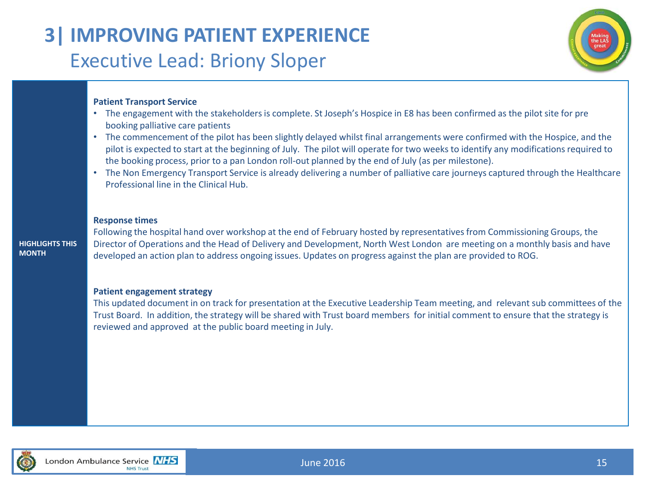# **3| IMPROVING PATIENT EXPERIENCE** Executive Lead: Briony Sloper



### **Patient Transport Service**

- The engagement with the stakeholders is complete. St Joseph's Hospice in E8 has been confirmed as the pilot site for pre booking palliative care patients
- The commencement of the pilot has been slightly delayed whilst final arrangements were confirmed with the Hospice, and the pilot is expected to start at the beginning of July. The pilot will operate for two weeks to identify any modifications required to the booking process, prior to a pan London roll-out planned by the end of July (as per milestone).
- The Non Emergency Transport Service is already delivering a number of palliative care journeys captured through the Healthcare Professional line in the Clinical Hub.

### **Response times**

**HIGHLIGHTS THIS MONTH**

Following the hospital hand over workshop at the end of February hosted by representatives from Commissioning Groups, the Director of Operations and the Head of Delivery and Development, North West London are meeting on a monthly basis and have developed an action plan to address ongoing issues. Updates on progress against the plan are provided to ROG.

### **Patient engagement strategy**

This updated document in on track for presentation at the Executive Leadership Team meeting, and relevant sub committees of the Trust Board. In addition, the strategy will be shared with Trust board members for initial comment to ensure that the strategy is reviewed and approved at the public board meeting in July.



June 2016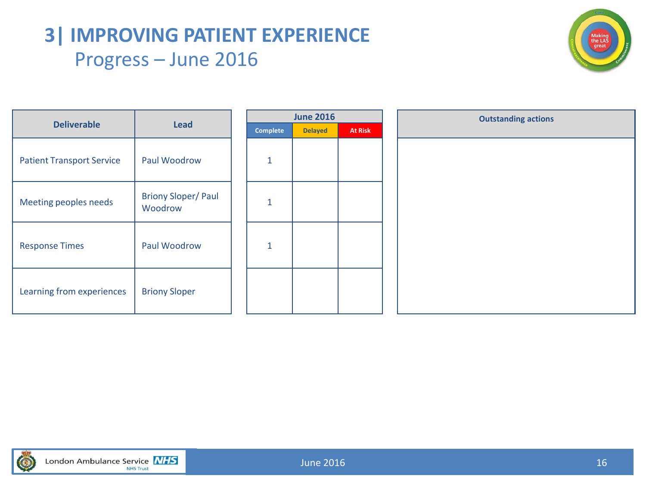# **3| IMPROVING PATIENT EXPERIENCE** Progress – June 2016



|                                  | Lead                                 |  |              | <b>June 2016</b> |                | <b>Outstanding actions</b> |
|----------------------------------|--------------------------------------|--|--------------|------------------|----------------|----------------------------|
| <b>Deliverable</b>               |                                      |  | Complete     | <b>Delayed</b>   | <b>At Risk</b> |                            |
| <b>Patient Transport Service</b> | Paul Woodrow                         |  | $\mathbf{1}$ |                  |                |                            |
| Meeting peoples needs            | <b>Briony Sloper/Paul</b><br>Woodrow |  | $\mathbf{1}$ |                  |                |                            |
| <b>Response Times</b>            | Paul Woodrow                         |  | $\mathbf{1}$ |                  |                |                            |
| Learning from experiences        | <b>Briony Sloper</b>                 |  |              |                  |                |                            |

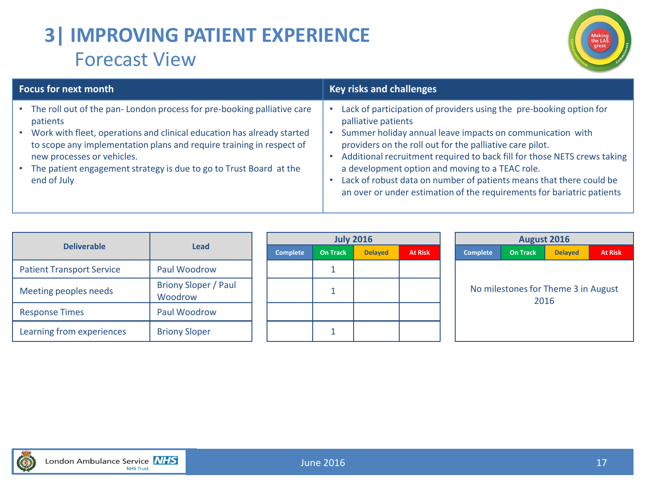# **3| IMPROVING PATIENT EXPERIENCE** Forecast View



| <b>Focus for next month</b>                                                                                                                                                                                                                                                                                                                                   | <b>Key risks and challenges</b>                                                                                                                                                                                                                                                                                                                                                                                                                                                                     |
|---------------------------------------------------------------------------------------------------------------------------------------------------------------------------------------------------------------------------------------------------------------------------------------------------------------------------------------------------------------|-----------------------------------------------------------------------------------------------------------------------------------------------------------------------------------------------------------------------------------------------------------------------------------------------------------------------------------------------------------------------------------------------------------------------------------------------------------------------------------------------------|
| • The roll out of the pan-London process for pre-booking palliative care<br>patients<br>• Work with fleet, operations and clinical education has already started<br>to scope any implementation plans and require training in respect of<br>new processes or vehicles.<br>• The patient engagement strategy is due to go to Trust Board at the<br>end of July | Lack of participation of providers using the pre-booking option for<br>palliative patients<br>Summer holiday annual leave impacts on communication with<br>providers on the roll out for the palliative care pilot.<br>Additional recruitment required to back fill for those NETS crews taking<br>a development option and moving to a TEAC role.<br>Lack of robust data on number of patients means that there could be<br>an over or under estimation of the requirements for bariatric patients |

| <b>Deliverable</b>               | Lead                            |  | <b>Complete</b> | On Tr |
|----------------------------------|---------------------------------|--|-----------------|-------|
| <b>Patient Transport Service</b> | Paul Woodrow                    |  |                 |       |
| Meeting peoples needs            | Briony Sloper / Paul<br>Woodrow |  |                 |       |
| <b>Response Times</b>            | Paul Woodrow                    |  |                 |       |
| Learning from experiences        | <b>Briony Sloper</b>            |  |                 |       |

| <b>July 2016</b> |                 |                |                |  |  |  |  |  |  |
|------------------|-----------------|----------------|----------------|--|--|--|--|--|--|
| <b>Complete</b>  | <b>On Track</b> | <b>Delayed</b> | <b>At Risk</b> |  |  |  |  |  |  |
|                  |                 |                |                |  |  |  |  |  |  |
|                  |                 |                |                |  |  |  |  |  |  |
|                  |                 |                |                |  |  |  |  |  |  |
|                  |                 |                |                |  |  |  |  |  |  |



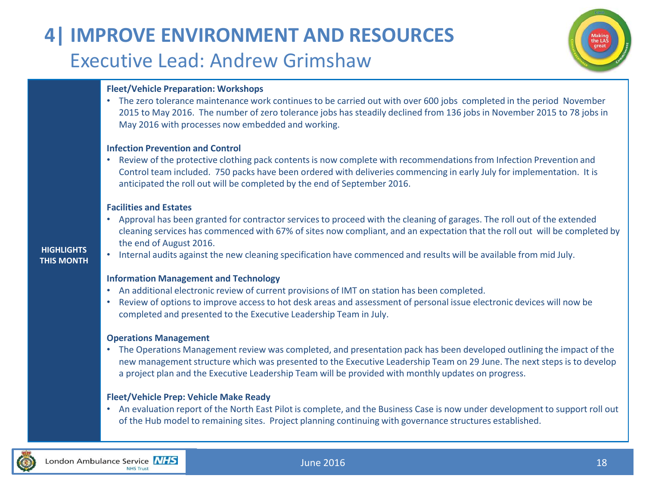# **4| IMPROVE ENVIRONMENT AND RESOURCES** Executive Lead: Andrew Grimshaw



# **Fleet/Vehicle Preparation: Workshops**

• The zero tolerance maintenance work continues to be carried out with over 600 jobs completed in the period November 2015 to May 2016. The number of zero tolerance jobs has steadily declined from 136 jobs in November 2015 to 78 jobs in May 2016 with processes now embedded and working.

### **Infection Prevention and Control**

• Review of the protective clothing pack contents is now complete with recommendations from Infection Prevention and Control team included. 750 packs have been ordered with deliveries commencing in early July for implementation. It is anticipated the roll out will be completed by the end of September 2016.

### **Facilities and Estates**

- Approval has been granted for contractor services to proceed with the cleaning of garages. The roll out of the extended cleaning services has commenced with 67% of sites now compliant, and an expectation that the roll out will be completed by the end of August 2016.
- Internal audits against the new cleaning specification have commenced and results will be available from mid July.

### **Information Management and Technology**

- An additional electronic review of current provisions of IMT on station has been completed.
- Review of options to improve access to hot desk areas and assessment of personal issue electronic devices will now be completed and presented to the Executive Leadership Team in July.

### **Operations Management**

• The Operations Management review was completed, and presentation pack has been developed outlining the impact of the new management structure which was presented to the Executive Leadership Team on 29 June. The next steps is to develop a project plan and the Executive Leadership Team will be provided with monthly updates on progress.

### **Fleet/Vehicle Prep: Vehicle Make Ready**

• An evaluation report of the North East Pilot is complete, and the Business Case is now under development to support roll out of the Hub model to remaining sites. Project planning continuing with governance structures established.



**HIGHLIGHTS THIS MONTH**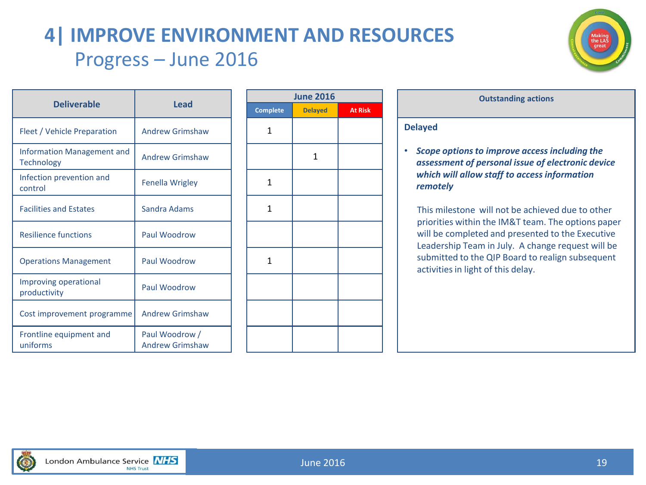# **4| IMPROVE ENVIRONMENT AND RESOURCES** Progress – June 2016



|                                                 |                                          | June 2          |              |  |  |
|-------------------------------------------------|------------------------------------------|-----------------|--------------|--|--|
| <b>Deliverable</b>                              | <b>Lead</b>                              | <b>Complete</b> | <b>Delay</b> |  |  |
| Fleet / Vehicle Preparation                     | <b>Andrew Grimshaw</b>                   | 1               |              |  |  |
| Information Management and<br><b>Technology</b> | <b>Andrew Grimshaw</b>                   |                 | 1            |  |  |
| Infection prevention and<br>control             | <b>Fenella Wrigley</b>                   | 1               |              |  |  |
| <b>Facilities and Estates</b>                   | Sandra Adams                             | 1               |              |  |  |
| <b>Resilience functions</b>                     | Paul Woodrow                             |                 |              |  |  |
| <b>Operations Management</b>                    | Paul Woodrow                             | 1               |              |  |  |
| Improving operational<br>productivity           | Paul Woodrow                             |                 |              |  |  |
| Cost improvement programme                      | <b>Andrew Grimshaw</b>                   |                 |              |  |  |
| Frontline equipment and<br>uniforms             | Paul Woodrow /<br><b>Andrew Grimshaw</b> |                 |              |  |  |

| <b>June 2016</b> |                |                |  |  |  |  |  |  |
|------------------|----------------|----------------|--|--|--|--|--|--|
| Complete         | <b>Delayed</b> | <b>At Risk</b> |  |  |  |  |  |  |
| $\mathbf 1$      |                |                |  |  |  |  |  |  |
|                  | $\mathbf 1$    |                |  |  |  |  |  |  |
| $\mathbf 1$      |                |                |  |  |  |  |  |  |
| $\mathbf 1$      |                |                |  |  |  |  |  |  |
|                  |                |                |  |  |  |  |  |  |
| $\overline{1}$   |                |                |  |  |  |  |  |  |
|                  |                |                |  |  |  |  |  |  |
|                  |                |                |  |  |  |  |  |  |
|                  |                |                |  |  |  |  |  |  |

| <b>Delayed</b>                                                                                                                                                 |
|----------------------------------------------------------------------------------------------------------------------------------------------------------------|
| Scope options to improve access including the<br>assessment of personal issue of electronic device<br>which will allow staff to access information<br>remotely |

**June 2016 Outstanding actions**

This milestone will not be achieved due to other priorities within the IM&T team. The options paper will be completed and presented to the Executive Leadership Team in July. A change request will be submitted to the QIP Board to realign subsequent activities in light of this delay.

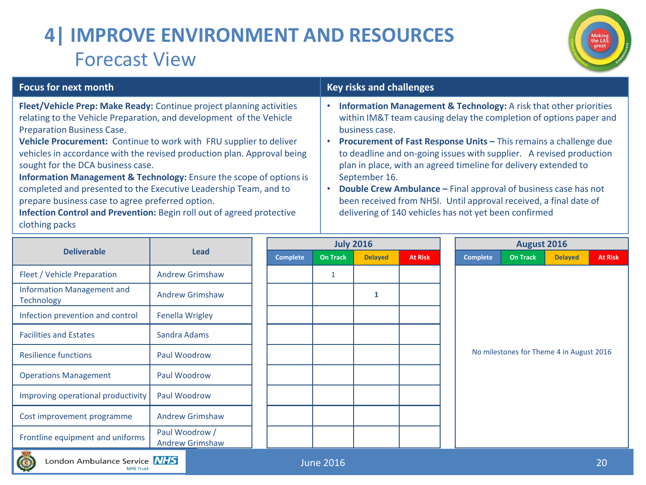# **4| IMPROVE ENVIRONMENT AND RESOURCES** Forecast View



| <b>Focus for next month</b>                                                                                                                                                                                                                                                                                                                                                                                                                                                                                                                                                                                                                                                 | <b>Key risks and challenges</b>                                                                                                                                                                                                                                                                                                                                                                                                                                                                                                                                                                       |
|-----------------------------------------------------------------------------------------------------------------------------------------------------------------------------------------------------------------------------------------------------------------------------------------------------------------------------------------------------------------------------------------------------------------------------------------------------------------------------------------------------------------------------------------------------------------------------------------------------------------------------------------------------------------------------|-------------------------------------------------------------------------------------------------------------------------------------------------------------------------------------------------------------------------------------------------------------------------------------------------------------------------------------------------------------------------------------------------------------------------------------------------------------------------------------------------------------------------------------------------------------------------------------------------------|
| Fleet/Vehicle Prep: Make Ready: Continue project planning activities<br>relating to the Vehicle Preparation, and development of the Vehicle<br><b>Preparation Business Case.</b><br>Vehicle Procurement: Continue to work with FRU supplier to deliver<br>vehicles in accordance with the revised production plan. Approval being<br>sought for the DCA business case.<br><b>Information Management &amp; Technology:</b> Ensure the scope of options is<br>completed and presented to the Executive Leadership Team, and to<br>prepare business case to agree preferred option.<br>Infection Control and Prevention: Begin roll out of agreed protective<br>clothing packs | <b>Information Management &amp; Technology:</b> A risk that other priorities<br>within IM&T team causing delay the completion of options paper and<br>business case.<br>Procurement of Fast Response Units - This remains a challenge due<br>to deadline and on-going issues with supplier. A revised production<br>plan in place, with an agreed timeline for delivery extended to<br>September 16.<br>Double Crew Ambulance - Final approval of business case has not<br>been received from NHSI. Until approval received, a final date of<br>delivering of 140 vehicles has not yet been confirmed |

|                                                        |                                          |  |                 |                 | <b>July 2016</b> |                |  | <b>August 2016</b>                       |                 |                |                |  |  |  |
|--------------------------------------------------------|------------------------------------------|--|-----------------|-----------------|------------------|----------------|--|------------------------------------------|-----------------|----------------|----------------|--|--|--|
| <b>Deliverable</b>                                     | <b>Lead</b>                              |  | <b>Complete</b> | <b>On Track</b> | <b>Delayed</b>   | <b>At Risk</b> |  | <b>Complete</b>                          | <b>On Track</b> | <b>Delayed</b> | <b>At Risk</b> |  |  |  |
| Fleet / Vehicle Preparation                            | <b>Andrew Grimshaw</b>                   |  |                 |                 |                  |                |  |                                          |                 |                |                |  |  |  |
| <b>Information Management and</b><br><b>Technology</b> | <b>Andrew Grimshaw</b>                   |  |                 |                 | 1                |                |  |                                          |                 |                |                |  |  |  |
| Infection prevention and control                       | <b>Fenella Wrigley</b>                   |  |                 |                 |                  |                |  |                                          |                 |                |                |  |  |  |
| <b>Facilities and Estates</b>                          | Sandra Adams                             |  |                 |                 |                  |                |  |                                          |                 |                |                |  |  |  |
| <b>Resilience functions</b>                            | Paul Woodrow                             |  |                 |                 |                  |                |  | No milestones for Theme 4 in August 2016 |                 |                |                |  |  |  |
| <b>Operations Management</b>                           | Paul Woodrow                             |  |                 |                 |                  |                |  |                                          |                 |                |                |  |  |  |
| Improving operational productivity                     | Paul Woodrow                             |  |                 |                 |                  |                |  |                                          |                 |                |                |  |  |  |
| Cost improvement programme                             | <b>Andrew Grimshaw</b>                   |  |                 |                 |                  |                |  |                                          |                 |                |                |  |  |  |
| Frontline equipment and uniforms                       | Paul Woodrow /<br><b>Andrew Grimshaw</b> |  |                 |                 |                  |                |  |                                          |                 |                |                |  |  |  |
| 乳腺                                                     |                                          |  |                 |                 |                  |                |  |                                          |                 |                |                |  |  |  |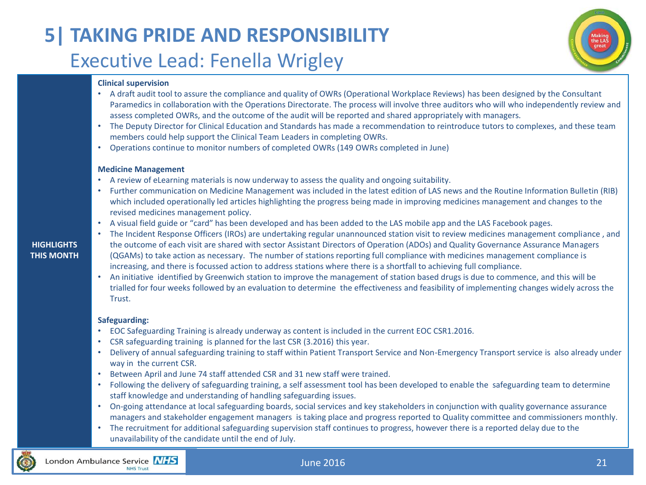# **5| TAKING PRIDE AND RESPONSIBILITY** Executive Lead: Fenella Wrigley



### **Clinical supervision**

- A draft audit tool to assure the compliance and quality of OWRs (Operational Workplace Reviews) has been designed by the Consultant Paramedics in collaboration with the Operations Directorate. The process will involve three auditors who will who independently review and assess completed OWRs, and the outcome of the audit will be reported and shared appropriately with managers.
- The Deputy Director for Clinical Education and Standards has made a recommendation to reintroduce tutors to complexes, and these team members could help support the Clinical Team Leaders in completing OWRs.
- Operations continue to monitor numbers of completed OWRs (149 OWRs completed in June)

### **Medicine Management**

- A review of eLearning materials is now underway to assess the quality and ongoing suitability.
- Further communication on Medicine Management was included in the latest edition of LAS news and the Routine Information Bulletin (RIB) which included operationally led articles highlighting the progress being made in improving medicines management and changes to the revised medicines management policy.
- A visual field guide or "card" has been developed and has been added to the LAS mobile app and the LAS Facebook pages.
- **HIGHLIGHTS THIS MONTH** • The Incident Response Officers (IROs) are undertaking regular unannounced station visit to review medicines management compliance , and the outcome of each visit are shared with sector Assistant Directors of Operation (ADOs) and Quality Governance Assurance Managers (QGAMs) to take action as necessary. The number of stations reporting full compliance with medicines management compliance is increasing, and there is focussed action to address stations where there is a shortfall to achieving full compliance.
	- An initiative identified by Greenwich station to improve the management of station based drugs is due to commence, and this will be trialled for four weeks followed by an evaluation to determine the effectiveness and feasibility of implementing changes widely across the Trust.

### **Safeguarding:**

- EOC Safeguarding Training is already underway as content is included in the current EOC CSR1.2016.
- CSR safeguarding training is planned for the last CSR (3.2016) this year.
- Delivery of annual safeguarding training to staff within Patient Transport Service and Non-Emergency Transport service is also already under way in the current CSR.
- Between April and June 74 staff attended CSR and 31 new staff were trained.
- Following the delivery of safeguarding training, a self assessment tool has been developed to enable the safeguarding team to determine staff knowledge and understanding of handling safeguarding issues.
- On-going attendance at local safeguarding boards, social services and key stakeholders in conjunction with quality governance assurance managers and stakeholder engagement managers is taking place and progress reported to Quality committee and commissioners monthly.
- The recruitment for additional safeguarding supervision staff continues to progress, however there is a reported delay due to the unavailability of the candidate until the end of July.

### London Ambulance Service NHS **NHS Trust**

### June 2016

# 21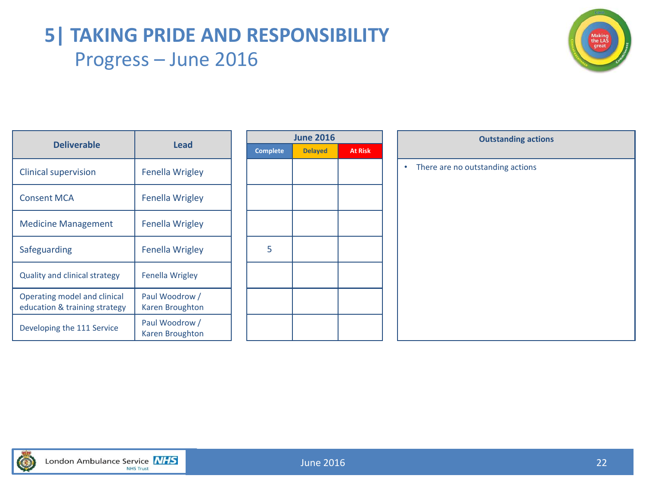# **5| TAKING PRIDE AND RESPONSIBILITY** Progress – June 2016



|                                                               | <b>Lead</b>                       |  |                 | <b>June 2016</b> |                |  | <b>Outstanding act</b>           |
|---------------------------------------------------------------|-----------------------------------|--|-----------------|------------------|----------------|--|----------------------------------|
| <b>Deliverable</b>                                            |                                   |  | <b>Complete</b> | <b>Delayed</b>   | <b>At Risk</b> |  |                                  |
| <b>Clinical supervision</b>                                   | <b>Fenella Wrigley</b>            |  |                 |                  |                |  | There are no outstanding actions |
| <b>Consent MCA</b>                                            | <b>Fenella Wrigley</b>            |  |                 |                  |                |  |                                  |
| <b>Medicine Management</b>                                    | <b>Fenella Wrigley</b>            |  |                 |                  |                |  |                                  |
| Safeguarding                                                  | <b>Fenella Wrigley</b>            |  | 5               |                  |                |  |                                  |
| <b>Quality and clinical strategy</b>                          | <b>Fenella Wrigley</b>            |  |                 |                  |                |  |                                  |
| Operating model and clinical<br>education & training strategy | Paul Woodrow /<br>Karen Broughton |  |                 |                  |                |  |                                  |
| Developing the 111 Service                                    | Paul Woodrow /<br>Karen Broughton |  |                 |                  |                |  |                                  |

|                 | <b>June 2016</b> |                |
|-----------------|------------------|----------------|
| <b>Complete</b> | <b>Delayed</b>   | <b>At Risk</b> |
|                 |                  |                |
|                 |                  |                |
|                 |                  |                |
|                 |                  |                |
|                 |                  |                |
|                 |                  |                |
| 5               |                  |                |
|                 |                  |                |
|                 |                  |                |
|                 |                  |                |
|                 |                  |                |
|                 |                  |                |
|                 |                  |                |

| <b>June 2016</b> |                | <b>Outstanding actions</b>            |  |  |  |  |  |
|------------------|----------------|---------------------------------------|--|--|--|--|--|
| <b>Delayed</b>   | <b>At Risk</b> |                                       |  |  |  |  |  |
|                  |                | There are no outstanding actions<br>٠ |  |  |  |  |  |
|                  |                |                                       |  |  |  |  |  |
|                  |                |                                       |  |  |  |  |  |
|                  |                |                                       |  |  |  |  |  |
|                  |                |                                       |  |  |  |  |  |
|                  |                |                                       |  |  |  |  |  |
|                  |                |                                       |  |  |  |  |  |
|                  |                |                                       |  |  |  |  |  |
|                  |                |                                       |  |  |  |  |  |
|                  |                |                                       |  |  |  |  |  |
|                  |                |                                       |  |  |  |  |  |
|                  |                |                                       |  |  |  |  |  |
|                  |                |                                       |  |  |  |  |  |
|                  |                |                                       |  |  |  |  |  |